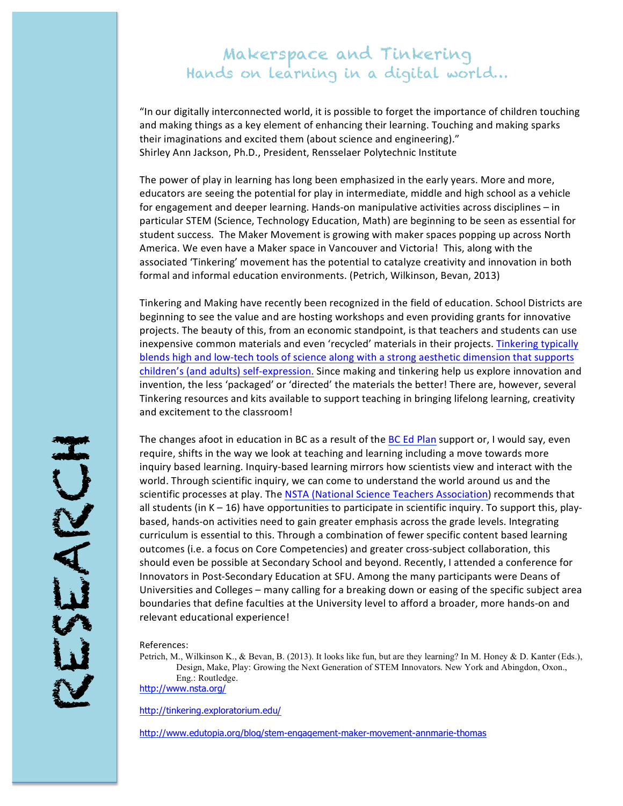# Makerspace and Tinkering Hands on learning in a digital world…

"In our digitally interconnected world, it is possible to forget the importance of children touching and making things as a key element of enhancing their learning. Touching and making sparks their imaginations and excited them (about science and engineering)." Shirley Ann Jackson, Ph.D., President, Rensselaer Polytechnic Institute

The power of play in learning has long been emphasized in the early years. More and more, educators are seeing the potential for play in intermediate, middle and high school as a vehicle for engagement and deeper learning. Hands-on manipulative activities across disciplines – in particular STEM (Science, Technology Education, Math) are beginning to be seen as essential for student success. The Maker Movement is growing with maker spaces popping up across North America. We even have a Maker space in Vancouver and Victoria! This, along with the associated 'Tinkering' movement has the potential to catalyze creativity and innovation in both formal and informal education environments. (Petrich, Wilkinson, Bevan, 2013)

Tinkering and Making have recently been recognized in the field of education. School Districts are beginning to see the value and are hosting workshops and even providing grants for innovative projects. The beauty of this, from an economic standpoint, is that teachers and students can use inexpensive common materials and even 'recycled' materials in their projects. Tinkering typically blends high and low-tech tools of science along with a strong aesthetic dimension that supports children's (and adults) self-expression. Since making and tinkering help us explore innovation and invention, the less 'packaged' or 'directed' the materials the better! There are, however, several Tinkering resources and kits available to support teaching in bringing lifelong learning, creativity and excitement to the classroom!

The changes afoot in education in BC as a result of the BC Ed Plan support or, I would say, even require, shifts in the way we look at teaching and learning including a move towards more inquiry based learning. Inquiry-based learning mirrors how scientists view and interact with the world. Through scientific inquiry, we can come to understand the world around us and the scientific processes at play. The NSTA (National Science Teachers Association) recommends that all students (in  $K - 16$ ) have opportunities to participate in scientific inquiry. To support this, playbased, hands-on activities need to gain greater emphasis across the grade levels. Integrating curriculum is essential to this. Through a combination of fewer specific content based learning outcomes (i.e. a focus on Core Competencies) and greater cross-subject collaboration, this should even be possible at Secondary School and beyond. Recently, I attended a conference for Innovators in Post-Secondary Education at SFU. Among the many participants were Deans of Universities and Colleges – many calling for a breaking down or easing of the specific subject area boundaries that define faculties at the University level to afford a broader, more hands-on and relevant educational experience!

References:

Petrich, M., Wilkinson K., & Bevan, B. (2013). It looks like fun, but are they learning? In M. Honey & D. Kanter (Eds.), Design, Make, Play: Growing the Next Generation of STEM Innovators. New York and Abingdon, Oxon., Eng.: Routledge. http://www.nsta.org/

http://tinkering.exploratorium.edu/

http://www.edutopia.org/blog/stem-engagement-maker-movement-annmarie-thomas